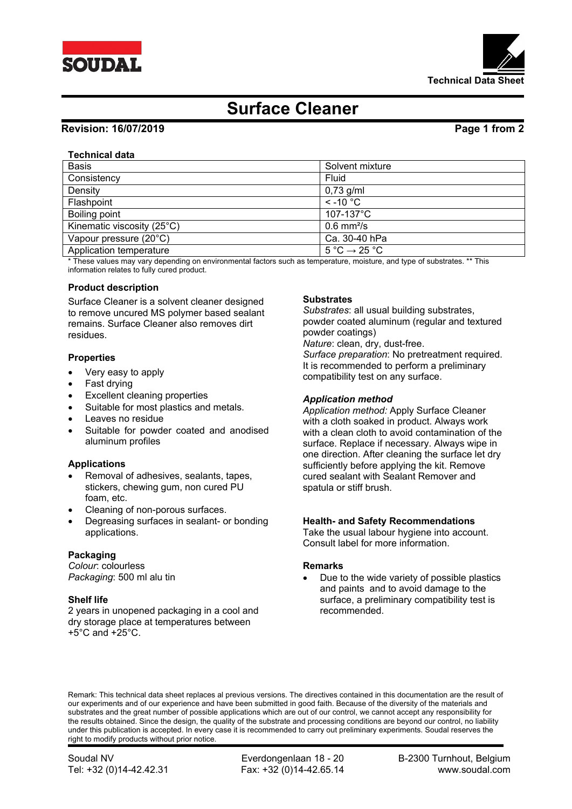



# **Surface Cleaner**

## **Revision: 16/07/2019 Page 1 from 2**

## **Technical data**

| <b>Basis</b>               | Solvent mixture                             |
|----------------------------|---------------------------------------------|
| Consistency                | Fluid                                       |
| Density                    | $0,73$ g/ml                                 |
| Flashpoint                 | $\le$ -10 °C                                |
| Boiling point              | $107 - 137$ °C                              |
| Kinematic viscosity (25°C) | $0.6$ mm <sup>2</sup> /s                    |
| Vapour pressure (20°C)     | Ca. 30-40 hPa                               |
| Application temperature    | $5^{\circ}$ C $\rightarrow$ 25 $^{\circ}$ C |

\* These values may vary depending on environmental factors such as temperature, moisture, and type of substrates. \*\* This information relates to fully cured product.

#### **Product description**

Surface Cleaner is a solvent cleaner designed to remove uncured MS polymer based sealant remains. Surface Cleaner also removes dirt residues.

### **Properties**

- Very easy to apply
- Fast drying
- Excellent cleaning properties
- Suitable for most plastics and metals.
- Leaves no residue
- Suitable for powder coated and anodised aluminum profiles

### **Applications**

- Removal of adhesives, sealants, tapes, stickers, chewing gum, non cured PU foam, etc.
- Cleaning of non-porous surfaces.
- Degreasing surfaces in sealant- or bonding applications.

### **Packaging**

*Colour*: colourless *Packaging*: 500 ml alu tin

### **Shelf life**

2 years in unopened packaging in a cool and dry storage place at temperatures between +5°C and +25°C.

#### **Substrates**

*Substrates*: all usual building substrates, powder coated aluminum (regular and textured powder coatings)

*Nature*: clean, dry, dust-free. *Surface preparation*: No pretreatment required. It is recommended to perform a preliminary compatibility test on any surface.

### *Application method*

*Application method:* Apply Surface Cleaner with a cloth soaked in product. Always work with a clean cloth to avoid contamination of the surface. Replace if necessary. Always wipe in one direction. After cleaning the surface let dry sufficiently before applying the kit. Remove cured sealant with Sealant Remover and spatula or stiff brush.

### **Health- and Safety Recommendations**

Take the usual labour hygiene into account. Consult label for more information.

#### **Remarks**

 Due to the wide variety of possible plastics and paints and to avoid damage to the surface, a preliminary compatibility test is recommended.

Remark: This technical data sheet replaces al previous versions. The directives contained in this documentation are the result of our experiments and of our experience and have been submitted in good faith. Because of the diversity of the materials and substrates and the great number of possible applications which are out of our control, we cannot accept any responsibility for the results obtained. Since the design, the quality of the substrate and processing conditions are beyond our control, no liability under this publication is accepted. In every case it is recommended to carry out preliminary experiments. Soudal reserves the right to modify products without prior notice.